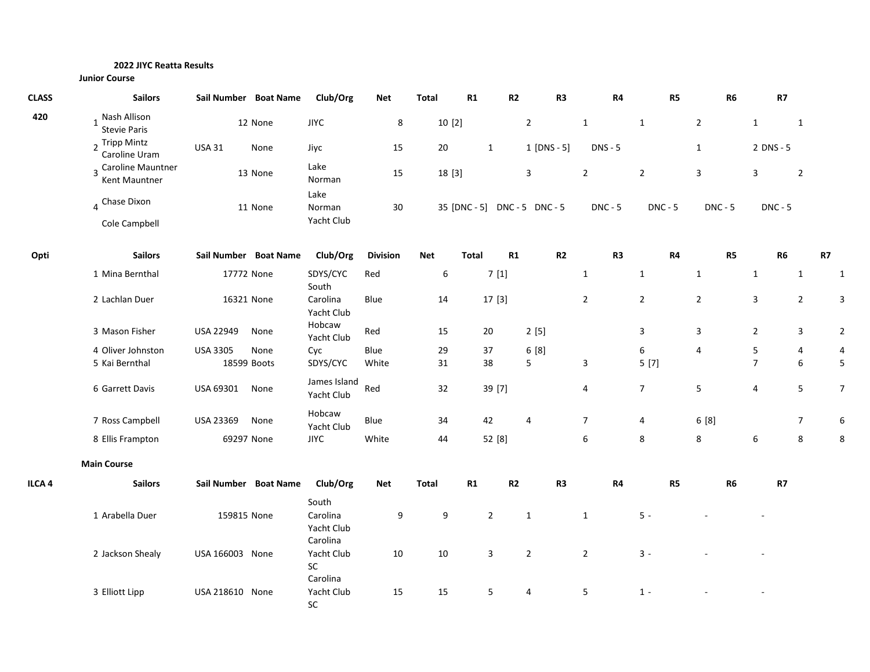## **2022 JIYC Reatta Results**

| <b>CLASS</b>      | <b>Sailors</b>                        |                 | Sail Number Boat Name | Club/Org                           | <b>Net</b>      | <b>Total</b> | R1               | R <sub>2</sub> |                              | R <sub>3</sub> | R4             |                | R5 |                | R <sub>6</sub> |                     | R7             |    |                |
|-------------------|---------------------------------------|-----------------|-----------------------|------------------------------------|-----------------|--------------|------------------|----------------|------------------------------|----------------|----------------|----------------|----|----------------|----------------|---------------------|----------------|----|----------------|
| 420               | 1 Nash Allison<br><b>Stevie Paris</b> |                 | 12 None               | <b>JIYC</b>                        | 8               |              | 10[2]            |                | $\overline{2}$               |                | $\mathbf{1}$   | $\mathbf{1}$   |    | $\overline{2}$ |                | $\mathbf{1}$        | $\mathbf{1}$   |    |                |
|                   | 2 Tripp Mintz<br>Caroline Uram        | <b>USA 31</b>   | None                  | Jiyc                               | 15              | 20           |                  | $\mathbf{1}$   | $1$ [DNS - 5]                |                | <b>DNS - 5</b> |                |    | $\mathbf{1}$   |                | 2 DNS - 5           |                |    |                |
|                   | 3 Caroline Mauntner<br>Kent Mauntner  |                 | 13 None               | Lake<br>Norman                     | 15              |              | 18 [3]           |                | 3                            |                | $\overline{2}$ | $\overline{2}$ |    | 3              |                | 3                   | $\overline{2}$ |    |                |
|                   | 4 Chase Dixon<br>Cole Campbell        |                 | 11 None               | Lake<br>Norman<br>Yacht Club       | 30              |              |                  |                | 35 [DNC - 5] DNC - 5 DNC - 5 |                | $DNC - 5$      | $DNC - 5$      |    | <b>DNC - 5</b> |                |                     | $DNC - 5$      |    |                |
| Opti              | <b>Sailors</b>                        |                 | Sail Number Boat Name | Club/Org                           | <b>Division</b> | Net          | <b>Total</b>     | R1             |                              | R <sub>2</sub> | R <sub>3</sub> |                | R4 |                | R5             |                     | R <sub>6</sub> | R7 |                |
|                   | 1 Mina Bernthal                       |                 | 17772 None            | SDYS/CYC<br>South                  | Red             |              | $\boldsymbol{6}$ | 7[1]           |                              |                | $\mathbf{1}$   | $\mathbf{1}$   |    | $\mathbf{1}$   |                | $\mathbf{1}$        | $\mathbf{1}$   |    | 1              |
|                   | 2 Lachlan Duer                        |                 | 16321 None            | Carolina<br>Yacht Club             | Blue            | 14           |                  | 17[3]          |                              |                | $\overline{2}$ | $\overline{2}$ |    | $\overline{2}$ |                | 3                   | $\overline{2}$ |    | 3              |
|                   | 3 Mason Fisher                        | USA 22949       | None                  | Hobcaw<br>Yacht Club               | Red             | 15           |                  | 20             | 2[5]                         |                |                | 3              |    | $\overline{3}$ |                | $\overline{2}$      | 3              |    | $\overline{2}$ |
|                   | 4 Oliver Johnston<br>5 Kai Bernthal   | <b>USA 3305</b> | None<br>18599 Boots   | Cyc<br>SDYS/CYC                    | Blue<br>White   | 29<br>31     |                  | 37<br>38       | 6[8]<br>5                    |                | 3              | 6<br>5[7]      |    | 4              |                | 5<br>$\overline{7}$ | 4<br>6         |    | 5              |
|                   | 6 Garrett Davis                       | USA 69301       | None                  | James Island<br>Yacht Club         | Red             | 32           |                  | 39 [7]         |                              |                | 4              | $\overline{7}$ |    | 5              |                | $\overline{4}$      | 5              |    | 7              |
|                   | 7 Ross Campbell                       | USA 23369       | None                  | Hobcaw<br>Yacht Club               | Blue            | 34           |                  | 42             | 4                            |                | $\overline{7}$ | 4              |    | 6 [8]          |                |                     | $\overline{7}$ |    | 6              |
|                   | 8 Ellis Frampton                      |                 | 69297 None            | <b>JIYC</b>                        | White           | 44           |                  | 52 [8]         |                              |                | 6              | 8              |    | 8              |                | 6                   | 8              |    | 8              |
|                   | <b>Main Course</b>                    |                 |                       |                                    |                 |              |                  |                |                              |                |                |                |    |                |                |                     |                |    |                |
| ILCA <sub>4</sub> | <b>Sailors</b>                        |                 | Sail Number Boat Name | Club/Org                           | <b>Net</b>      | Total        | R1               | R2             |                              | R3             | R4             |                | R5 |                | R <sub>6</sub> |                     | R7             |    |                |
|                   | 1 Arabella Duer                       | 159815 None     |                       | South<br>Carolina<br>Yacht Club    | 9               |              | $\boldsymbol{9}$ | $\overline{2}$ | 1                            |                | $\mathbf{1}$   | $5 -$          |    |                |                |                     |                |    |                |
|                   | 2 Jackson Shealy                      | USA 166003 None |                       | Carolina<br>Yacht Club<br>SC       | 10              | $10\,$       |                  | 3              | $\overline{2}$               |                | $\overline{2}$ | $3 -$          |    |                |                |                     |                |    |                |
|                   | 3 Elliott Lipp                        | USA 218610 None |                       | Carolina<br>Yacht Club<br>$\sf SC$ | 15              | 15           |                  | 5              | 4                            |                | 5              | $1 -$          |    |                |                |                     |                |    |                |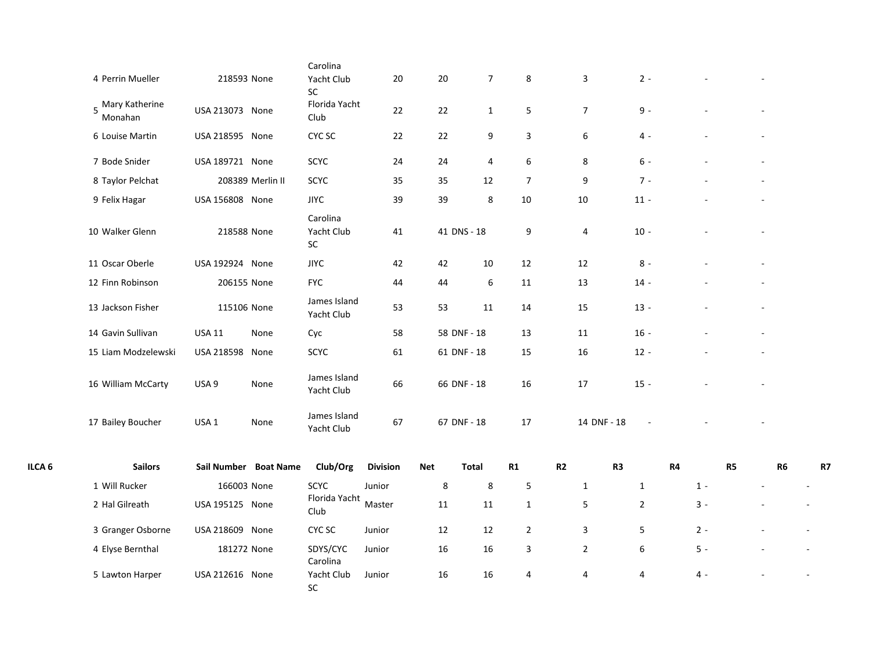|        | 4 Perrin Mueller            |                  | 218593 None           | Yacht Club                           | 20              | 20         | 7              | 8              | 3               | $2 -$          |       |           |                |    |
|--------|-----------------------------|------------------|-----------------------|--------------------------------------|-----------------|------------|----------------|----------------|-----------------|----------------|-------|-----------|----------------|----|
|        | 5 Mary Katherine<br>Monahan | USA 213073 None  |                       | SC<br>Florida Yacht<br>Club          | 22              | 22         | $\mathbf{1}$   | 5              | $7\overline{ }$ | $9 -$          |       |           |                |    |
|        | 6 Louise Martin             | USA 218595 None  |                       | CYC SC                               | 22              | 22         | 9              | 3              | 6               | $4 -$          |       |           |                |    |
|        | 7 Bode Snider               | USA 189721 None  |                       | SCYC                                 | 24              | 24         | $\overline{4}$ | 6              | 8               | $6 -$          |       |           |                |    |
|        | 8 Taylor Pelchat            |                  | 208389 Merlin II      | SCYC                                 | 35              | 35         | 12             | $\overline{7}$ | 9               | $7 -$          |       |           |                |    |
|        | 9 Felix Hagar               | USA 156808 None  |                       | <b>JIYC</b>                          | 39              | 39         | 8              | 10             | 10              | $11 -$         |       |           |                |    |
|        | 10 Walker Glenn             |                  | 218588 None           | Carolina<br>Yacht Club<br>${\sf SC}$ | 41              |            | 41 DNS - 18    | 9              | 4               | $10 -$         |       |           |                |    |
|        | 11 Oscar Oberle             | USA 192924 None  |                       | <b>JIYC</b>                          | 42              | 42         | 10             | 12             | 12              | $8 -$          |       |           |                |    |
|        | 12 Finn Robinson            |                  | 206155 None           | <b>FYC</b>                           | 44              | 44         | 6              | 11             | 13              | $14 -$         |       |           |                |    |
|        | 13 Jackson Fisher           |                  | 115106 None           | James Island<br>Yacht Club           | 53              | 53         | 11             | 14             | 15              | $13 -$         |       |           |                |    |
|        | 14 Gavin Sullivan           | <b>USA 11</b>    | None                  | Cyc                                  | 58              |            | 58 DNF - 18    | 13             | 11              | $16 -$         |       |           |                |    |
|        | 15 Liam Modzelewski         | USA 218598 None  |                       | SCYC                                 | 61              |            | 61 DNF - 18    | 15             | 16              | $12 -$         |       |           |                |    |
|        | 16 William McCarty          | USA 9            | None                  | James Island<br>Yacht Club           | 66              |            | 66 DNF - 18    | 16             | 17              | $15 -$         |       |           |                |    |
|        | 17 Bailey Boucher           | USA <sub>1</sub> | None                  | James Island<br>Yacht Club           | 67              |            | 67 DNF - 18    | 17             | 14 DNF - 18     |                |       |           |                |    |
| ILCA 6 | <b>Sailors</b>              |                  | Sail Number Boat Name | Club/Org                             | <b>Division</b> | <b>Net</b> | <b>Total</b>   | R1             | R2              | R <sub>3</sub> | R4    | <b>R5</b> | R <sub>6</sub> | R7 |
|        | 1 Will Rucker               |                  | 166003 None           | <b>SCYC</b>                          | Junior          | 8          | 8              | 5              | $\mathbf{1}$    | $\mathbf{1}$   | $1 -$ |           |                |    |
|        | 2 Hal Gilreath              | USA 195125 None  |                       | Florida Yacht<br>Club                | Master          | 11         | 11             | $\mathbf{1}$   | 5               | $\overline{2}$ | $3 -$ |           |                |    |
|        | 3 Granger Osborne           | USA 218609 None  |                       | CYC SC                               | Junior          | 12         | 12             | $\overline{2}$ | 3               | 5              | $2 -$ |           |                |    |
|        | 4 Elyse Bernthal            |                  | 181272 None           | SDYS/CYC<br>Carolina                 | Junior          | 16         | 16             | 3              | $\overline{2}$  | 6              | $5 -$ |           |                |    |
|        | 5 Lawton Harper             | USA 212616 None  |                       | Yacht Club<br>${\sf SC}$             | Junior          | 16         | 16             | 4              | 4               | 4              | 4 -   |           |                |    |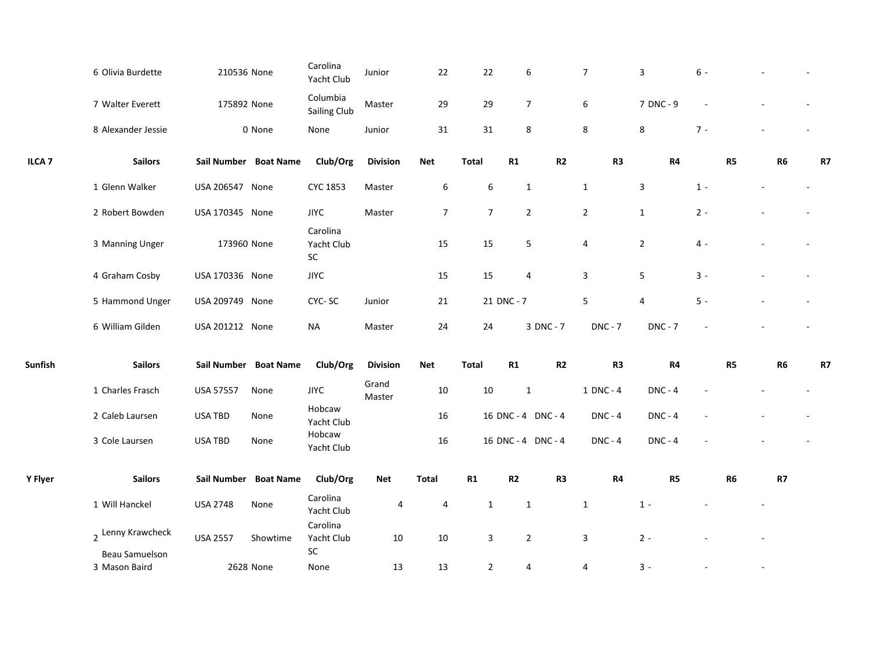|                   | 6 Olivia Burdette  | 210536 None      |                       | Carolina<br>Yacht Club       | Junior          | 22               | 22             | 6                  | $\overline{7}$ |                | 3              | $6 -$ |                |                |    |
|-------------------|--------------------|------------------|-----------------------|------------------------------|-----------------|------------------|----------------|--------------------|----------------|----------------|----------------|-------|----------------|----------------|----|
|                   | 7 Walter Everett   | 175892 None      |                       | Columbia<br>Sailing Club     | Master          | 29               | 29             | $\overline{7}$     | 6              |                | 7 DNC - 9      |       |                |                |    |
|                   | 8 Alexander Jessie |                  | 0 None                | None                         | Junior          | 31               | 31             | 8                  | 8              |                | 8              | $7 -$ |                |                |    |
| ILCA <sub>7</sub> | <b>Sailors</b>     |                  | Sail Number Boat Name | Club/Org                     | <b>Division</b> | <b>Net</b>       | Total          | R1                 | R2             | R <sub>3</sub> | R4             |       | R5             | R <sub>6</sub> | R7 |
|                   | 1 Glenn Walker     | USA 206547 None  |                       | <b>CYC 1853</b>              | Master          | $\boldsymbol{6}$ | 6              | $\mathbf{1}$       | $\mathbf{1}$   |                | 3              | $1 -$ |                |                |    |
|                   | 2 Robert Bowden    | USA 170345 None  |                       | <b>JIYC</b>                  | Master          | $\overline{7}$   | $\overline{7}$ | $\overline{2}$     | $\overline{2}$ |                | $\mathbf{1}$   | $2 -$ |                |                |    |
|                   | 3 Manning Unger    | 173960 None      |                       | Carolina<br>Yacht Club<br>SC |                 | 15               | 15             | 5                  | 4              |                | $\overline{2}$ | $4 -$ |                |                |    |
|                   | 4 Graham Cosby     | USA 170336 None  |                       | <b>JIYC</b>                  |                 | 15               | 15             | 4                  | 3              |                | 5              | $3 -$ |                |                |    |
|                   | 5 Hammond Unger    | USA 209749 None  |                       | CYC-SC                       | Junior          | 21               |                | 21 DNC - 7         | 5              |                | 4              | $5 -$ |                |                |    |
|                   | 6 William Gilden   | USA 201212 None  |                       | <b>NA</b>                    | Master          | 24               | 24             | 3 DNC - 7          |                | <b>DNC - 7</b> | <b>DNC - 7</b> |       |                |                |    |
| Sunfish           | <b>Sailors</b>     |                  | Sail Number Boat Name | Club/Org                     | <b>Division</b> | <b>Net</b>       | <b>Total</b>   | R1                 | R2             | R <sub>3</sub> | R4             |       | R5             | R <sub>6</sub> | R7 |
|                   | 1 Charles Frasch   | <b>USA 57557</b> | None                  | <b>JIYC</b>                  | Grand<br>Master | $10\,$           | 10             | $\mathbf{1}$       |                | 1 DNC - 4      | <b>DNC - 4</b> |       |                |                |    |
|                   | 2 Caleb Laursen    | USA TBD          | None                  | Hobcaw<br>Yacht Club         |                 | 16               |                | 16 DNC - 4 DNC - 4 |                | <b>DNC - 4</b> | <b>DNC - 4</b> |       |                |                |    |
|                   | 3 Cole Laursen     | USA TBD          | None                  | Hobcaw<br>Yacht Club         |                 | 16               |                | 16 DNC - 4 DNC - 4 |                | $DNC - 4$      | $DNC - 4$      |       |                |                |    |
| Y Flyer           | <b>Sailors</b>     |                  | Sail Number Boat Name | Club/Org                     | Net             | <b>Total</b>     | R1             | R2                 | R <sub>3</sub> | R4             | R5             |       | R <sub>6</sub> | R7             |    |
|                   | 1 Will Hanckel     | <b>USA 2748</b>  | None                  | Carolina<br>Yacht Club       | 4               | 4                | $\mathbf{1}$   | $\mathbf{1}$       | $\mathbf{1}$   |                | $1 -$          |       |                |                |    |
|                   | 2 Lenny Krawcheck  | <b>USA 2557</b>  | Showtime              | Carolina<br>Yacht Club       | $10\,$          | $10\,$           | 3              | $\overline{2}$     | 3              |                | $2 -$          |       |                |                |    |
|                   | Beau Samuelson     |                  |                       | ${\sf SC}$                   |                 |                  |                |                    |                |                |                |       |                |                |    |
|                   | 3 Mason Baird      |                  | 2628 None             | None                         | 13              | 13               | $\overline{2}$ | 4                  | 4              |                | $3 -$          |       |                |                |    |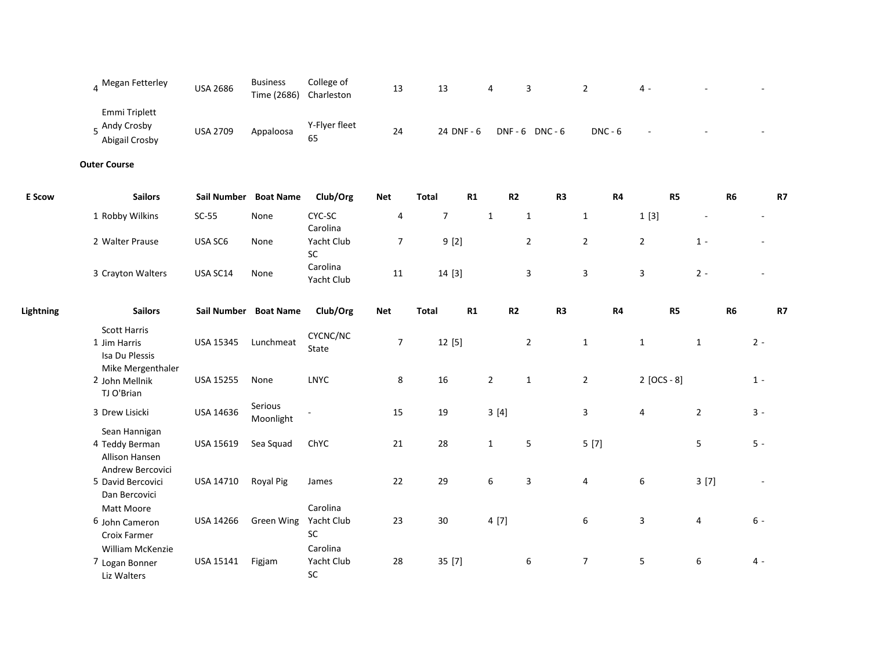|                  | 4 Megan Fetterley                                                          | <b>USA 2686</b> | <b>Business</b><br>Time (2686) | College of<br>Charleston                 | 13             | 13               | 4              |      | 3                       | $\overline{2}$ | 4 -                     |                |       |           |
|------------------|----------------------------------------------------------------------------|-----------------|--------------------------------|------------------------------------------|----------------|------------------|----------------|------|-------------------------|----------------|-------------------------|----------------|-------|-----------|
|                  | Emmi Triplett<br>5 Andy Crosby<br>Abigail Crosby                           | <b>USA 2709</b> | Appaloosa                      | Y-Flyer fleet<br>65                      | 24             |                  | 24 DNF - 6     |      | DNF-6 DNC-6             | $DNC - 6$      |                         |                |       |           |
|                  | <b>Outer Course</b>                                                        |                 |                                |                                          |                |                  |                |      |                         |                |                         |                |       |           |
| <b>E</b> Scow    | <b>Sailors</b>                                                             |                 | Sail Number Boat Name          | Club/Org                                 | <b>Net</b>     | <b>Total</b>     | R1             | R2   | R3                      | R4             | R5                      | R <sub>6</sub> |       | <b>R7</b> |
|                  | 1 Robby Wilkins                                                            | $SC-55$         | None                           | CYC-SC<br>Carolina                       | 4              | $\boldsymbol{7}$ | $\mathbf 1$    |      | $\mathbf{1}$            | $\mathbf{1}$   | 1[3]                    |                |       |           |
|                  | 2 Walter Prause                                                            | USA SC6         | None                           | Yacht Club<br>SC                         | $\overline{7}$ | 9[2]             |                |      | $\overline{2}$          | $\overline{2}$ | $\overline{2}$          | $1 -$          |       |           |
|                  | 3 Crayton Walters                                                          | USA SC14        | None                           | Carolina<br>Yacht Club                   | 11             | 14 [3]           |                |      | 3                       | 3              | $\mathbf{3}$            | $2 -$          |       |           |
| <b>Lightning</b> | <b>Sailors</b>                                                             |                 | Sail Number Boat Name          | Club/Org                                 | <b>Net</b>     | <b>Total</b>     | R1             | R2   | R <sub>3</sub>          | R4             | R5                      | R <sub>6</sub> |       | <b>R7</b> |
|                  | <b>Scott Harris</b><br>1 Jim Harris<br>Isa Du Plessis<br>Mike Mergenthaler | USA 15345       | Lunchmeat                      | CYCNC/NC<br>State                        | $\overline{7}$ | 12 [5]           |                |      | $\overline{2}$          | $\mathbf{1}$   | $\mathbf{1}$            | $\mathbf{1}$   | $2 -$ |           |
|                  | 2 John Mellnik<br>TJ O'Brian                                               | USA 15255       | None                           | <b>LNYC</b>                              | 8              | 16               | $\overline{2}$ |      | $\mathbf 1$             | $\overline{2}$ | $2 [OCS - 8]$           |                | $1 -$ |           |
|                  | 3 Drew Lisicki                                                             | USA 14636       | Serious<br>Moonlight           |                                          | 15             | 19               |                | 3[4] |                         | $\mathbf{3}$   | $\overline{\mathbf{4}}$ | $\overline{2}$ | $3 -$ |           |
|                  | Sean Hannigan<br>4 Teddy Berman<br>Allison Hansen<br>Andrew Bercovici      | USA 15619       | Sea Squad                      | ChYC                                     | 21             | 28               | $\mathbf{1}$   |      | 5                       | 5[7]           |                         | 5              | $5 -$ |           |
|                  | 5 David Bercovici<br>Dan Bercovici                                         | USA 14710       | <b>Royal Pig</b>               | James                                    | 22             | 29               | 6              |      | $\overline{\mathbf{3}}$ | 4              | $\boldsymbol{6}$        | 3[7]           |       |           |
|                  | Matt Moore<br>6 John Cameron<br>Croix Farmer<br><b>William McKenzie</b>    | USA 14266       | Green Wing                     | Carolina<br>Yacht Club<br>SC<br>Carolina | 23             | 30               |                | 4[7] |                         | 6              | $\overline{3}$          | 4              | $6 -$ |           |
|                  | 7 Logan Bonner<br>Liz Walters                                              | USA 15141       | Figjam                         | Yacht Club<br>SC                         | 28             | 35 [7]           |                |      | $\sqrt{6}$              | $\overline{7}$ | $\sqrt{5}$              | 6              | 4 -   |           |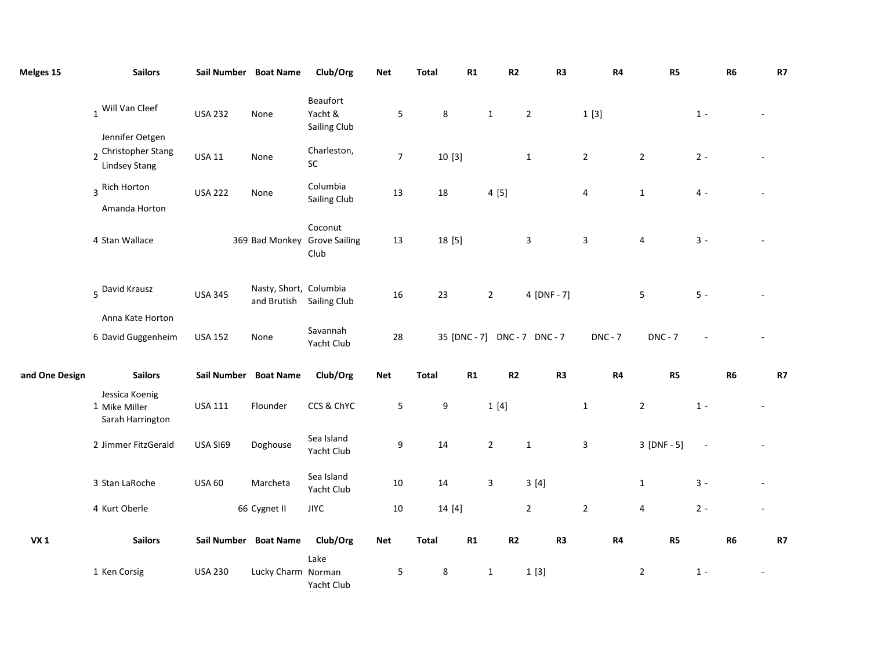| Melges 15      | <b>Sailors</b>                                                 |                | Sail Number Boat Name                              | Club/Org                                        | Net              | <b>Total</b>     | R1     | R2             | R <sub>3</sub>               | R4                      | R5             | R6             | R7 |
|----------------|----------------------------------------------------------------|----------------|----------------------------------------------------|-------------------------------------------------|------------------|------------------|--------|----------------|------------------------------|-------------------------|----------------|----------------|----|
|                | 1 Will Van Cleef                                               | <b>USA 232</b> | None                                               | Beaufort<br>Yacht &<br>Sailing Club             | 5                | 8                |        | $\mathbf{1}$   | $\overline{2}$               | 1[3]                    |                | $1 -$          |    |
|                | Jennifer Oetgen<br>2 Christopher Stang<br><b>Lindsey Stang</b> | <b>USA 11</b>  | None                                               | Charleston,<br>${\sf SC}$                       | $\boldsymbol{7}$ |                  | 10[3]  |                | $\mathbf{1}$                 | $\overline{2}$          | $\overline{2}$ | $2 -$          |    |
|                | 3 Rich Horton<br>Amanda Horton                                 | <b>USA 222</b> | None                                               | Columbia<br><b>Sailing Club</b>                 | 13               | 18               |        | 4[5]           |                              | 4                       | $\mathbf{1}$   | $4 -$          |    |
|                | 4 Stan Wallace                                                 |                |                                                    | Coconut<br>369 Bad Monkey Grove Sailing<br>Club | 13               |                  | 18 [5] |                | 3                            | $\overline{\mathbf{3}}$ | 4              | $3 -$          |    |
|                | 5 David Krausz                                                 | <b>USA 345</b> | Nasty, Short, Columbia<br>and Brutish Sailing Club |                                                 | 16               | 23               |        | $\overline{2}$ | 4 [DNF - 7]                  |                         | 5              | $5 -$          |    |
|                | Anna Kate Horton<br>6 David Guggenheim                         | <b>USA 152</b> | None                                               | Savannah<br>Yacht Club                          | 28               |                  |        |                | 35 [DNC - 7] DNC - 7 DNC - 7 | <b>DNC - 7</b>          | <b>DNC - 7</b> |                |    |
| and One Design | <b>Sailors</b>                                                 |                | Sail Number Boat Name                              | Club/Org                                        | <b>Net</b>       | <b>Total</b>     | R1     | R2             | R <sub>3</sub>               | R4                      | R5             | R <sub>6</sub> | R7 |
|                | Jessica Koenig<br>1 Mike Miller<br>Sarah Harrington            | <b>USA 111</b> | Flounder                                           | CCS & ChYC                                      | 5                | $\boldsymbol{9}$ |        | 1[4]           |                              | $\mathbf{1}$            | $\overline{2}$ | $1 -$          |    |
|                | 2 Jimmer FitzGerald                                            | USA SI69       | Doghouse                                           | Sea Island<br>Yacht Club                        | 9                | 14               |        | $\overline{2}$ | $\mathbf 1$                  | $\overline{\mathbf{3}}$ | $3 [DNF - 5]$  | $\sim$         |    |
|                | 3 Stan LaRoche                                                 | <b>USA 60</b>  | Marcheta                                           | Sea Island<br>Yacht Club                        | 10               | $14\,$           |        | 3              | 3[4]                         |                         | $\mathbf{1}$   | $3 -$          |    |
|                | 4 Kurt Oberle                                                  |                | 66 Cygnet II                                       | <b>JIYC</b>                                     | 10               |                  | 14 [4] |                | $\overline{2}$               | $\overline{2}$          | $\overline{4}$ | $2 -$          |    |
| <b>VX1</b>     | <b>Sailors</b>                                                 |                | Sail Number Boat Name                              | Club/Org                                        | <b>Net</b>       | <b>Total</b>     | R1     | R2             | R <sub>3</sub>               | R4                      | R5             | R <sub>6</sub> | R7 |
|                | 1 Ken Corsig                                                   | <b>USA 230</b> | Lucky Charm Norman                                 | Lake<br>Yacht Club                              | 5                | 8                |        | $\mathbf{1}$   | 1[3]                         |                         | $\overline{2}$ | $1 -$          |    |